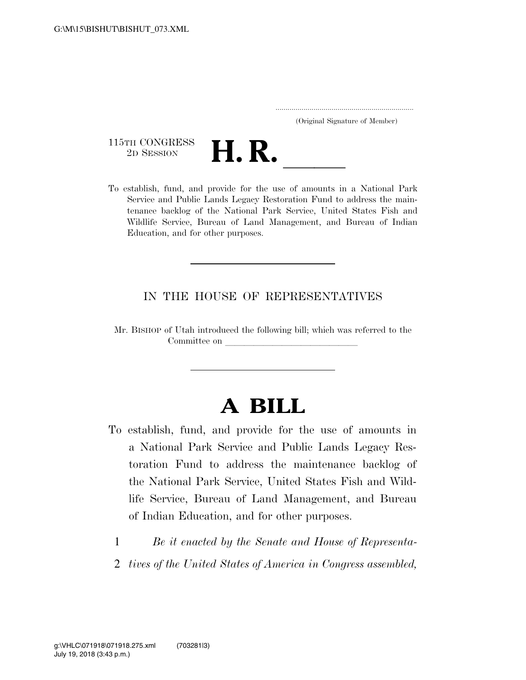..................................................................... (Original Signature of Member)

115TH CONGRESS<br>2D SESSION



TLETH CONGRESS<br>
2D SESSION<br>
To establish, fund, and provide for the use of amounts in a National Park Service and Public Lands Legacy Restoration Fund to address the maintenance backlog of the National Park Service, United States Fish and Wildlife Service, Bureau of Land Management, and Bureau of Indian Education, and for other purposes.

#### IN THE HOUSE OF REPRESENTATIVES

Mr. BISHOP of Utah introduced the following bill; which was referred to the Committee on

# **A BILL**

- To establish, fund, and provide for the use of amounts in a National Park Service and Public Lands Legacy Restoration Fund to address the maintenance backlog of the National Park Service, United States Fish and Wildlife Service, Bureau of Land Management, and Bureau of Indian Education, and for other purposes.
	- 1 *Be it enacted by the Senate and House of Representa-*
	- 2 *tives of the United States of America in Congress assembled,*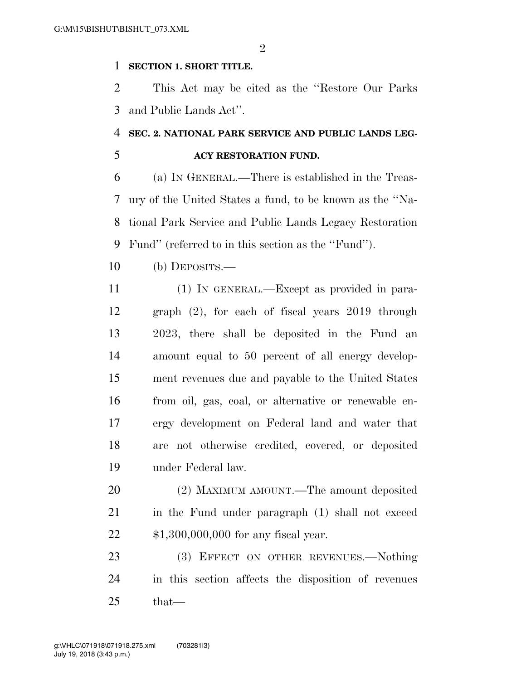$\mathfrak{D}$ 

#### **SECTION 1. SHORT TITLE.**

 This Act may be cited as the ''Restore Our Parks and Public Lands Act''.

## **SEC. 2. NATIONAL PARK SERVICE AND PUBLIC LANDS LEG-**

### **ACY RESTORATION FUND.**

 (a) IN GENERAL.—There is established in the Treas- ury of the United States a fund, to be known as the ''Na- tional Park Service and Public Lands Legacy Restoration Fund'' (referred to in this section as the ''Fund'').

- (b) DEPOSITS.—
- (1) IN GENERAL.—Except as provided in para- graph (2), for each of fiscal years 2019 through 2023, there shall be deposited in the Fund an amount equal to 50 percent of all energy develop- ment revenues due and payable to the United States from oil, gas, coal, or alternative or renewable en- ergy development on Federal land and water that are not otherwise credited, covered, or deposited under Federal law.
- (2) MAXIMUM AMOUNT.—The amount deposited 21 in the Fund under paragraph (1) shall not exceed \$1,300,000,000 for any fiscal year.

23 (3) EFFECT ON OTHER REVENUES.—Nothing in this section affects the disposition of revenues that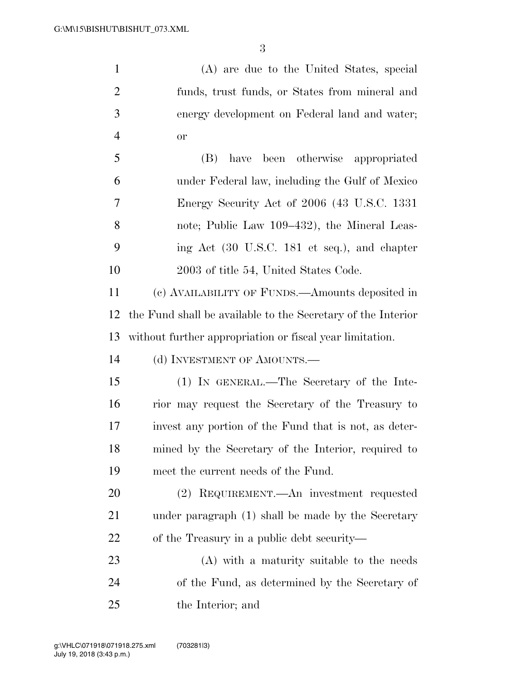(A) are due to the United States, special funds, trust funds, or States from mineral and energy development on Federal land and water; or (B) have been otherwise appropriated under Federal law, including the Gulf of Mexico

 Energy Security Act of 2006 (43 U.S.C. 1331 note; Public Law 109–432), the Mineral Leas- ing Act (30 U.S.C. 181 et seq.), and chapter 2003 of title 54, United States Code.

 (c) AVAILABILITY OF FUNDS.—Amounts deposited in the Fund shall be available to the Secretary of the Interior without further appropriation or fiscal year limitation.

14 (d) INVESTMENT OF AMOUNTS.—

 (1) IN GENERAL.—The Secretary of the Inte- rior may request the Secretary of the Treasury to invest any portion of the Fund that is not, as deter- mined by the Secretary of the Interior, required to meet the current needs of the Fund.

 (2) REQUIREMENT.—An investment requested under paragraph (1) shall be made by the Secretary of the Treasury in a public debt security—

 (A) with a maturity suitable to the needs of the Fund, as determined by the Secretary of the Interior; and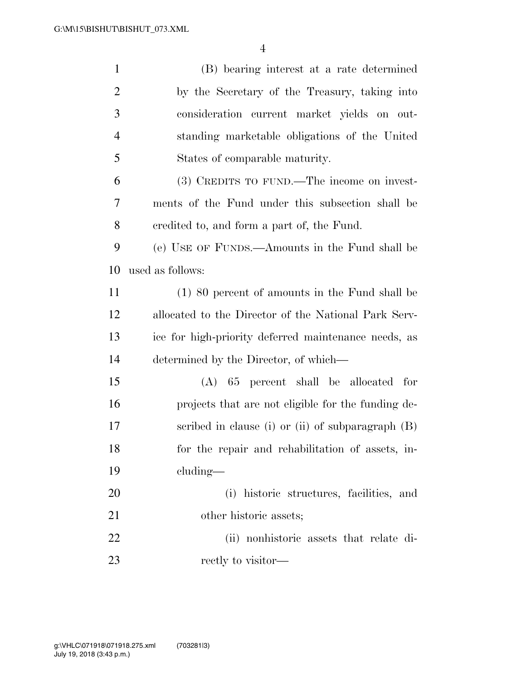| $\mathbf{1}$   | (B) bearing interest at a rate determined            |
|----------------|------------------------------------------------------|
| $\overline{2}$ | by the Secretary of the Treasury, taking into        |
| 3              | consideration current market yields on out-          |
| $\overline{4}$ | standing marketable obligations of the United        |
| 5              | States of comparable maturity.                       |
| 6              | (3) CREDITS TO FUND.—The income on invest-           |
| 7              | ments of the Fund under this subsection shall be     |
| 8              | eredited to, and form a part of, the Fund.           |
| 9              | (e) USE OF FUNDS.—Amounts in the Fund shall be       |
| 10             | used as follows:                                     |
| 11             | $(1)$ 80 percent of amounts in the Fund shall be     |
| 12             | allocated to the Director of the National Park Serv- |
| 13             | ice for high-priority deferred maintenance needs, as |
| 14             | determined by the Director, of which—                |
| 15             | $(A)$ 65 percent shall be allocated for              |
| 16             | projects that are not eligible for the funding de-   |
| 17             | scribed in clause (i) or (ii) of subparagraph $(B)$  |
| 18             | for the repair and rehabilitation of assets, in-     |
| 19             | cluding—                                             |
| 20             | (i) historic structures, facilities, and             |
| 21             | other historic assets;                               |
| 22             | nonhistoric assets that relate di-<br>(ii)           |
| 23             | rectly to visitor—                                   |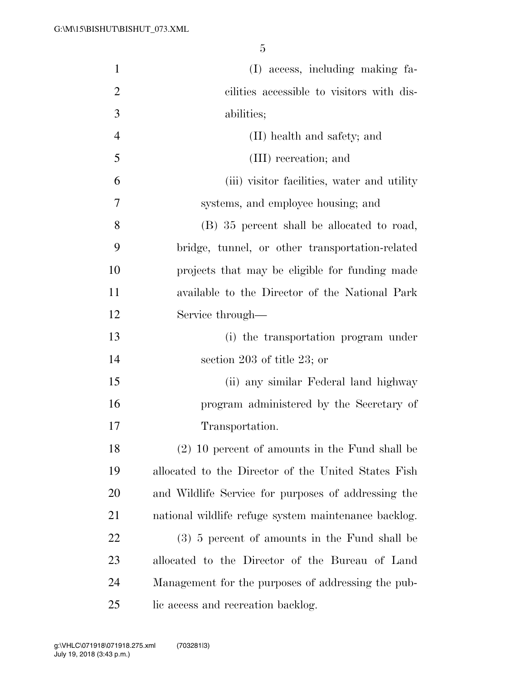| $\mathbf{1}$   | (I) access, including making fa-                     |
|----------------|------------------------------------------------------|
| $\overline{2}$ | cilities accessible to visitors with dis-            |
| 3              | abilities;                                           |
| $\overline{4}$ | (II) health and safety; and                          |
| 5              | (III) recreation; and                                |
| 6              | (iii) visitor facilities, water and utility          |
| 7              | systems, and employee housing; and                   |
| 8              | (B) 35 percent shall be allocated to road,           |
| 9              | bridge, tunnel, or other transportation-related      |
| 10             | projects that may be eligible for funding made       |
| 11             | available to the Director of the National Park       |
| 12             | Service through—                                     |
| 13             | (i) the transportation program under                 |
| 14             | section 203 of title 23; or                          |
| 15             | (ii) any similar Federal land highway                |
| 16             | program administered by the Secretary of             |
| 17             | Transportation.                                      |
| 18             | $(2)$ 10 percent of amounts in the Fund shall be     |
| 19             | allocated to the Director of the United States Fish  |
| 20             | and Wildlife Service for purposes of addressing the  |
| 21             | national wildlife refuge system maintenance backlog. |
| 22             | $(3)$ 5 percent of amounts in the Fund shall be      |
| 23             | allocated to the Director of the Bureau of Land      |
| 24             | Management for the purposes of addressing the pub-   |
| 25             | lic access and recreation backlog.                   |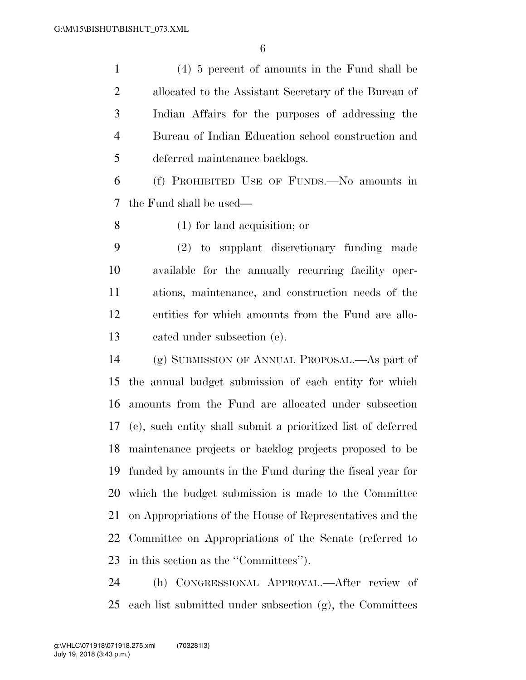(4) 5 percent of amounts in the Fund shall be allocated to the Assistant Secretary of the Bureau of Indian Affairs for the purposes of addressing the Bureau of Indian Education school construction and deferred maintenance backlogs.

 (f) PROHIBITED USE OF FUNDS.—No amounts in the Fund shall be used—

(1) for land acquisition; or

 (2) to supplant discretionary funding made available for the annually recurring facility oper- ations, maintenance, and construction needs of the entities for which amounts from the Fund are allo-cated under subsection (e).

 (g) SUBMISSION OF ANNUAL PROPOSAL.—As part of the annual budget submission of each entity for which amounts from the Fund are allocated under subsection (e), such entity shall submit a prioritized list of deferred maintenance projects or backlog projects proposed to be funded by amounts in the Fund during the fiscal year for which the budget submission is made to the Committee on Appropriations of the House of Representatives and the Committee on Appropriations of the Senate (referred to in this section as the ''Committees'').

 (h) CONGRESSIONAL APPROVAL.—After review of 25 each list submitted under subsection  $(g)$ , the Committees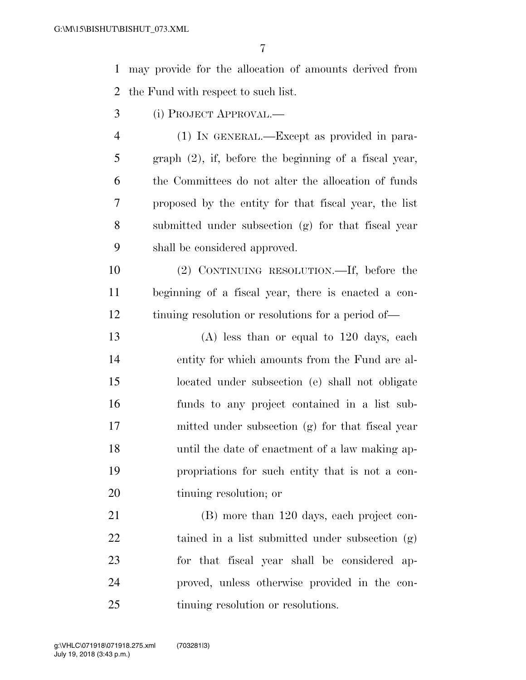may provide for the allocation of amounts derived from the Fund with respect to such list.

- (i) PROJECT APPROVAL.—
- (1) IN GENERAL.—Except as provided in para- graph (2), if, before the beginning of a fiscal year, the Committees do not alter the allocation of funds proposed by the entity for that fiscal year, the list submitted under subsection (g) for that fiscal year shall be considered approved.

 (2) CONTINUING RESOLUTION.—If, before the beginning of a fiscal year, there is enacted a con-tinuing resolution or resolutions for a period of—

 (A) less than or equal to 120 days, each entity for which amounts from the Fund are al- located under subsection (e) shall not obligate funds to any project contained in a list sub- mitted under subsection (g) for that fiscal year until the date of enactment of a law making ap- propriations for such entity that is not a con-tinuing resolution; or

 (B) more than 120 days, each project con- tained in a list submitted under subsection (g) for that fiscal year shall be considered ap- proved, unless otherwise provided in the con-25 tinuing resolution or resolutions.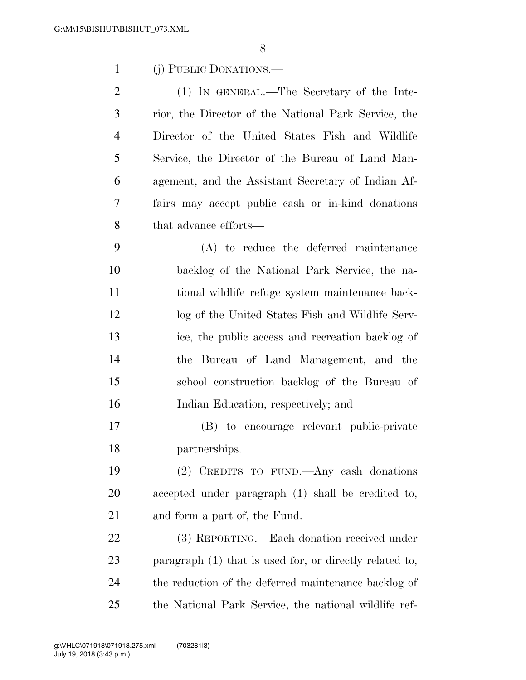(j) PUBLIC DONATIONS.—

 (1) IN GENERAL.—The Secretary of the Inte- rior, the Director of the National Park Service, the Director of the United States Fish and Wildlife Service, the Director of the Bureau of Land Man- agement, and the Assistant Secretary of Indian Af- fairs may accept public cash or in-kind donations that advance efforts—

 (A) to reduce the deferred maintenance backlog of the National Park Service, the na- tional wildlife refuge system maintenance back- log of the United States Fish and Wildlife Serv- ice, the public access and recreation backlog of the Bureau of Land Management, and the school construction backlog of the Bureau of Indian Education, respectively; and

 (B) to encourage relevant public-private partnerships.

 (2) CREDITS TO FUND.—Any cash donations accepted under paragraph (1) shall be credited to, and form a part of, the Fund.

 (3) REPORTING.—Each donation received under paragraph (1) that is used for, or directly related to, the reduction of the deferred maintenance backlog of the National Park Service, the national wildlife ref-